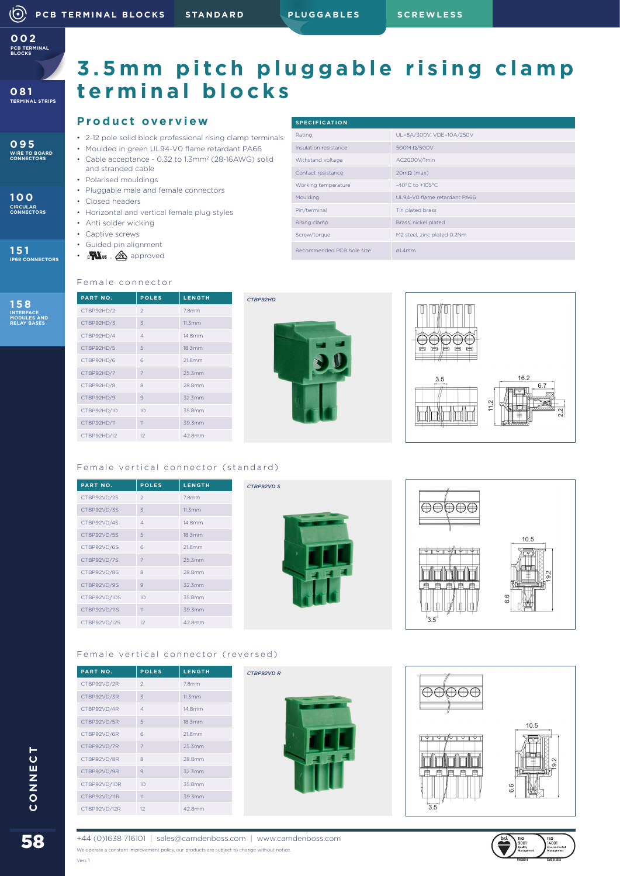**PCB TERMINAL BLOCKS 002**

**095 WIRE TO BOARD CONNECTORS**

**100 CIRCULAR CONNECTORS**

**151 IP68 CONNECTORS**

**158 INTERFACE MODULES AND RELAY BASES**

# **3.5mm pitch pluggable rising clamp terminal blocks**

#### **Product overview**

- 2-12 pole solid block professional rising clamp terminals
- Moulded in green UL94-V0 flame retardant PA66
- Cable acceptance 0.32 to 1.3mm2 (28-16AWG) solid and stranded cable
- Polarised mouldings • Pluggable male and female connectors
- Closed headers
- Horizontal and vertical female plug styles
- Anti solder wicking
- Captive screws
- Guided pin alignment
- $\cdot$  cons ,  $\mathbf{\hat{\underline{\alpha}}}$  approved

|  | <b>SPECIFICATION</b>      |                                      |  |
|--|---------------------------|--------------------------------------|--|
|  | Rating                    | UL=8A/300V, VDE=10A/250V             |  |
|  | Insulation resistance     | 500M $\Omega$ /500V                  |  |
|  | Withstand voltage         | AC2000V/1min                         |  |
|  | Contact resistance        | $20m\Omega$ (max)                    |  |
|  | Working temperature       | $-40^{\circ}$ C to $+105^{\circ}$ C. |  |
|  | Moulding                  | UL94-VO flame retardant PA66         |  |
|  | Pin/terminal              | Tin plated brass                     |  |
|  | Rising clamp              | Brass, nickel plated                 |  |
|  | Screw/torque              | M2 steel, zinc plated 0.2Nm          |  |
|  | Recommended PCB hole size | $g1.4$ mm                            |  |

#### Female connector

| PART NO.    | <b>POLES</b>    | <b>LENGTH</b> |
|-------------|-----------------|---------------|
| CTBP92HD/2  | $\mathfrak{D}$  | 7.8mm         |
| CTBP92HD/3  | 3               | 11.3mm        |
| CTBP92HD/4  | $\overline{A}$  | 14.8mm        |
| CTBP92HD/5  | 5               | 18.3mm        |
| CTBP92HD/6  | 6               | 21.8mm        |
| CTBP92HD/7  | 7               | 25.3mm        |
| CTBP92HD/8  | 8               | 28.8mm        |
| CTBP92HD/9  | 9               | 32.3mm        |
| CTBP92HD/10 | 10 <sup>1</sup> | 35.8mm        |
| CTBP92HD/11 | 11              | 39.3mm        |
| CTBP92HD/12 | 12              | 42.8mm        |



*CTBP92HD*

*CTBP92VD S*



#### Female vertical connector (standard)

| PART NO.     | <b>POLES</b>    | LENGTH |
|--------------|-----------------|--------|
| CTBP92VD/2S  | $\mathfrak{D}$  | 7.8mm  |
| CTBP92VD/3S  | 3               | 11.3mm |
| CTBP92VD/4S  | $\Delta$        | 14.8mm |
| CTBP92VD/5S  | 5               | 18.3mm |
| CTBP92VD/6S  | 6               | 21.8mm |
| CTBP92VD/7S  | $\overline{7}$  | 25.3mm |
| CTBP92VD/8S  | 8               | 28.8mm |
| CTBP92VD/9S  | 9               | 32.3mm |
| CTBP92VD/10S | 10 <sup>1</sup> | 35.8mm |
| CTBP92VD/11S | 11              | 39.3mm |
| CTBP92VD/12S | 12              | 42.8mm |





### Female vertical connector (reversed)

| <b>PART NO.</b> | <b>POLES</b>    | <b>LENGTH</b>     |
|-----------------|-----------------|-------------------|
| CTBP92VD/2R     | $\mathfrak{D}$  | 7.8 <sub>mm</sub> |
| CTBP92VD/3R     | 3               | 11.3mm            |
| CTBP92VD/4R     | $\Delta$        | 14.8mm            |
| CTBP92VD/5R     | 5               | 18.3mm            |
| CTBP92VD/6R     | 6               | 21.8mm            |
| CTBP92VD/7R     | 7               | 25.3mm            |
| CTBP92VD/8R     | 8               | 28.8mm            |
| CTBP92VD/9R     | 9               | 32.3mm            |
| CTBP92VD/10R    | 10 <sup>1</sup> | 35.8mm            |
| CTBP92VD/11R    | 11              | 39.3mm            |
| CTBP92VD/12R    | 12              | 42.8mm            |







Vers 1

+44 (0)1638 716101 | sales@camdenboss.com | www.camdenboss.com We operate a constant improvement policy, our products are subject to change without notice.